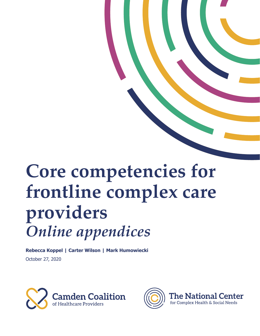# **Core competencies for frontline complex care providers** *Online appendices*

**Rebecca Koppel | Carter Wilson | Mark Humowiecki** October 27, 2020



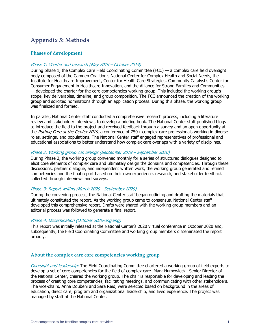# **Appendix 5: Methods**

## **Phases of development**

#### Phase 1: Charter and research (May 2019 – October 2019)

During phase 1, the Complex Care Field Coordinating Committee (FCC) — a complex care field oversight body composed of the Camden Coalition's National Center for Complex Health and Social Needs, the Institute for Healthcare Improvement, Center for Health Care Strategies, Community Catalyst's Center for Consumer Engagement in Healthcare Innovation, and the Alliance for Strong Families and Communities — developed the charter for the core competencies working group. This included the working group's scope, key deliverables, timeline, and group composition. The FCC announced the creation of the working group and solicited nominations through an application process. During this phase, the working group was finalized and formed.

In parallel, National Center staff conducted a comprehensive research process, including a literature review and stakeholder interviews, to develop a briefing book. The National Center staff published blogs to introduce the field to the project and received feedback through a survey and an open opportunity at the *Putting Care at the Center 2019*, a conference of 750+ complex care professionals working in diverse roles, settings, and populations. The National Center staff engaged representatives of professional and educational associations to better understand how complex care overlaps with a variety of disciplines.

#### Phase 2: Working group convenings (September 2019 – September 2020)

During Phase 2, the working group convened monthly for a series of structured dialogues designed to elicit core elements of complex care and ultimately design the domains and competencies. Through these discussions, partner dialogue, and independent written work, the working group generated and refined competencies and the final report based on their own experience, research, and stakeholder feedback collected through interviews and surveys.

## Phase 3: Report writing (March 2020 - September 2020)

During the convening process, the National Center staff began outlining and drafting the materials that ultimately constituted the report. As the working group came to consensus, National Center staff developed this comprehensive report. Drafts were shared with the working group members and an editorial process was followed to generate a final report.

#### Phase 4: Dissemination (October 2020-ongoing)

This report was initially released at the National Center's 2020 virtual conference in October 2020 and, subsequently, the Field Coordinating Committee and working group members disseminated the report broadly.

## **About the complex care core competencies working group**

Oversight and leadership: The Field Coordinating Committee chartered a working group of field experts to develop a set of core competencies for the field of complex care. Mark Humowiecki, Senior Director of the National Center, chaired the working group. The chair is responsible for developing and leading the process of creating core competencies, facilitating meetings, and communicating with other stakeholders. The vice-chairs, Anna Doubeni and Sara Reid, were selected based on background in the areas of education, direct care, program and organizational leadership, and lived experience. The project was managed by staff at the National Center.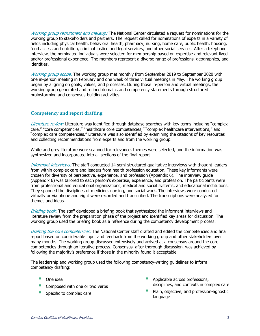Working group recruitment and makeup: The National Center circulated a request for nominations for the working group to stakeholders and partners. The request called for nominations of experts in a variety of fields including physical health, behavioral health, pharmacy, nursing, home care, public health, housing, food access and nutrition, criminal justice and legal services, and other social services. After a telephone interview, the nominated individuals were selected for membership based on expertise and relevant lived and/or professional experience. The members represent a diverse range of professions, geographies, and identities.

Working group scope: The working group met monthly from September 2019 to September 2020 with one in-person meeting in February and one week of three virtual meetings in May. The working group began by aligning on goals, values, and processes. During those in-person and virtual meetings, the working group generated and refined domains and competency statements through structured brainstorming and consensus-building activities.

# **Competency and report drafting**

Literature review: Literature was identified through database searches with key terms including "complex care," "core competencies," "healthcare core competencies," "complex healthcare interventions," and "complex care competencies." Literature was also identified by examining the citations of key resources and collecting recommendations from experts and from the working group.

White and grey literature were scanned for relevance, themes were selected, and the information was synthesized and incorporated into all sections of the final report.

Informant interviews: The staff conducted 14 semi-structured qualitative interviews with thought leaders from within complex care and leaders from health profession education. These key informants were chosen for diversity of perspective, experience, and profession (Appendix 6). The interview guide (Appendix 6) was tailored to each person's expertise, experience, and profession. The participants were from professional and educational organizations, medical and social systems, and educational institutions. They spanned the disciplines of medicine, nursing, and social work. The interviews were conducted virtually or via phone and eight were recorded and transcribed. The transcriptions were analyzed for themes and ideas.

Briefing book: The staff developed a briefing book that synthesized the informant interviews and literature review from the preparation phase of the project and identified key areas for discussion. The working group used the briefing book as a reference during the competency development process.

Drafting the core competencies: The National Center staff drafted and edited the competencies and final report based on considerable input and feedback from the working group and other stakeholders over many months. The working group discussed extensively and arrived at a consensus around the core competencies through an iterative process. Consensus, after thorough discussion, was achieved by following the majority's preference if those in the minority found it acceptable.

The leadership and working group used the following competency-writing guidelines to inform competency drafting:

- One idea
- Composed with one or two verbs
- Specific to complex care
- § Applicable across professions, disciplines, and contexts in complex care
- Plain, objective, and profession-agnostic language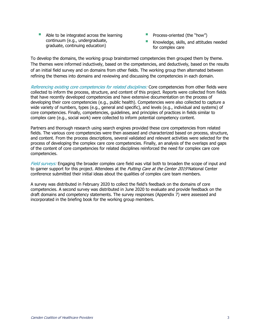- Able to be integrated across the learning continuum (e.g., undergraduate, graduate, continuing education)
- **•** Process-oriented (the "how")
- Knowledge, skills, and attitudes needed for complex care

To develop the domains, the working group brainstormed competencies then grouped them by theme. The themes were informed inductively, based on the competencies, and deductively, based on the results of an initial field survey and on domains from other fields. The working group then alternated between refining the themes into domains and reviewing and discussing the competencies in each domain.

Referencing existing core competencies for related disciplines: Core competencies from other fields were collected to inform the process, structure, and content of this project. Reports were collected from fields that have recently developed competencies and have extensive documentation on the process of developing their core competencies (e.g., public health). Competencies were also collected to capture a wide variety of numbers, types (e.g., general and specific), and levels (e.g., individual and systems) of core competencies. Finally, competencies, guidelines, and principles of practices in fields similar to complex care (e.g., social work) were collected to inform potential competency content.

Partners and thorough research using search engines provided these core competencies from related fields. The various core competencies were then assessed and characterized based on process, structure, and content. From the process descriptions, several validated and relevant activities were selected for the process of developing the complex care core competencies. Finally, an analysis of the overlaps and gaps of the content of core competencies for related disciplines reinforced the need for complex care core competencies.

Field surveys: Engaging the broader complex care field was vital both to broaden the scope of input and to garner support for this project. Attendees at the *Putting Care at the Center 2019* National Center conference submitted their initial ideas about the qualities of complex care team members.

A survey was distributed in February 2020 to collect the field's feedback on the domains of core competencies. A second survey was distributed in June 2020 to evaluate and provide feedback on the draft domains and competency statements. The survey responses (Appendix 7) were assessed and incorporated in the briefing book for the working group members.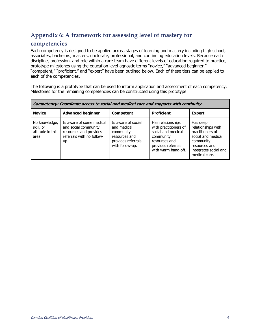# **Appendix 6: A framework for assessing level of mastery for**

# **competencies**

Each competency is designed to be applied across stages of learning and mastery including high school, associates, bachelors, masters, doctorate, professional, and continuing education levels. Because each discipline, profession, and role within a care team have different levels of education required to practice, prototype milestones using the education level-agnostic terms "novice," "advanced beginner," "competent," "proficient," and "expert" have been outlined below. Each of these tiers can be applied to each of the competencies.

The following is a prototype that can be used to inform application and assessment of each competency. Milestones for the remaining competencies can be constructed using this prototype.

| Competency: Coordinate access to social and medical care and supports with continuity. |                                                                                                                |                                                                                                          |                                                                                                                                             |                                                                                                                                                  |  |  |
|----------------------------------------------------------------------------------------|----------------------------------------------------------------------------------------------------------------|----------------------------------------------------------------------------------------------------------|---------------------------------------------------------------------------------------------------------------------------------------------|--------------------------------------------------------------------------------------------------------------------------------------------------|--|--|
| <b>Novice</b>                                                                          | <b>Advanced beginner</b>                                                                                       | <b>Competent</b>                                                                                         | <b>Proficient</b>                                                                                                                           | <b>Expert</b>                                                                                                                                    |  |  |
| No knowledge,<br>skill, or<br>attitude in this<br>area                                 | Is aware of some medical<br>and social community<br>resources and provides<br>referrals with no follow-<br>up. | Is aware of social<br>and medical<br>community<br>resources and<br>provides referrals<br>with follow-up. | Has relationships<br>with practitioners of<br>social and medical<br>community<br>resources and<br>provides referrals<br>with warm hand-off. | Has deep<br>relationships with<br>practitioners of<br>social and medical<br>community<br>resources and<br>integrates social and<br>medical care. |  |  |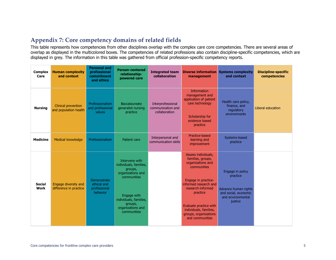# **Appendix 7: Core competency domains of related fields**

This table represents how competencies from other disciplines overlap with the complex care core competencies. There are several areas of overlap as displayed in the multicolored boxes. The competencies of related professions also contain discipline-specific competencies, which are displayed in grey. The information in this table was gathered from official profession-specific competency reports.

| <b>Complex</b><br>Care       | <b>Human complexity</b><br>and context              | <b>Personal and</b><br>professional<br>commitment<br>and ethics | <b>Person-centered</b><br>relationship-<br>powered care                                                                                                                         | <b>Integrated team</b><br>collaboration                 | management                                                                                                                                                                                                                                                    | <b>Diverse information</b> Systems complexity<br>and context                                                 | <b>Discipline-specific</b><br>competencies |
|------------------------------|-----------------------------------------------------|-----------------------------------------------------------------|---------------------------------------------------------------------------------------------------------------------------------------------------------------------------------|---------------------------------------------------------|---------------------------------------------------------------------------------------------------------------------------------------------------------------------------------------------------------------------------------------------------------------|--------------------------------------------------------------------------------------------------------------|--------------------------------------------|
| <b>Nursing</b>               | <b>Clinical prevention</b><br>and population health | Professionalism<br>and professional<br>values                   | Baccalaureate<br>generalist nursing<br>practice                                                                                                                                 | Interprofessional<br>communication and<br>collaboration | Information<br>management and<br>application of patient<br>care technology<br>Scholarship for<br>evidence based<br>practice                                                                                                                                   | Health care policy,<br>finance, and<br>regulatory<br>environments                                            | Liberal education                          |
| <b>Medicine</b>              | Medical knowledge                                   | Professionalism                                                 | Patient care                                                                                                                                                                    | Interpersonal and<br>communication skills               | <b>Practice-based</b><br>learning and<br>improvement                                                                                                                                                                                                          | Systems-based<br>practice                                                                                    |                                            |
| <b>Social</b><br><b>Work</b> | Engage diversity and<br>difference in practice      | Demonstrate<br>ethical and<br>professional<br>behavior          | Intervene with<br>individuals, families,<br>groups,<br>organizations and<br>communities<br>Engage with<br>individuals, families,<br>groups,<br>organizations and<br>communities |                                                         | Assess individuals,<br>families, groups,<br>organizations and<br>communities<br>Engage in practice-<br>informed research and<br>research-informed<br>practice<br>Evaluate practice with<br>individuals, families,<br>groups, organizations<br>and communities | Engage in policy<br>practice<br>Advance human rights<br>and social, economic<br>and environmental<br>justice |                                            |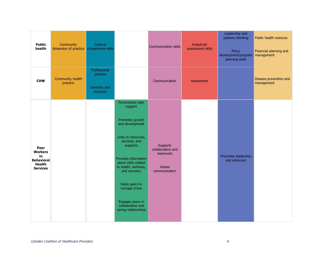| <b>Public</b><br>health                                                               | Community<br>dimension of practice | Cultural<br>competence skills                          |                                                                                                                                                                                                                                                                                                                    | <b>Communication skills</b>                                                 | Analytical/<br>assessment skills | Leadership and<br>systems thinking<br>Policy<br>development/program management<br>planning skills | Public health sciences<br>Financial planning and |
|---------------------------------------------------------------------------------------|------------------------------------|--------------------------------------------------------|--------------------------------------------------------------------------------------------------------------------------------------------------------------------------------------------------------------------------------------------------------------------------------------------------------------------|-----------------------------------------------------------------------------|----------------------------------|---------------------------------------------------------------------------------------------------|--------------------------------------------------|
| <b>CHW</b>                                                                            | Community health<br>practice       | Professional<br>practice<br>Diversity and<br>inclusion |                                                                                                                                                                                                                                                                                                                    | Communication                                                               | Assessment                       |                                                                                                   | Disease prevention and<br>management             |
| Peer<br><b>Workers</b><br>in<br><b>Behavioral</b><br><b>Health</b><br><b>Services</b> |                                    |                                                        | Personalizes peer<br>support<br>Promotes growth<br>and development<br>Links to resources,<br>services, and<br>supports<br>Provides information<br>about skills related<br>to health, wellness,<br>and recovery<br>Helps peers to<br>manage crises<br>Engages peers in<br>collaborative and<br>caring relationships | <b>Supports</b><br>collaboration and<br>teamwork<br>Values<br>communication |                                  | Promotes leadership<br>and advocacy                                                               |                                                  |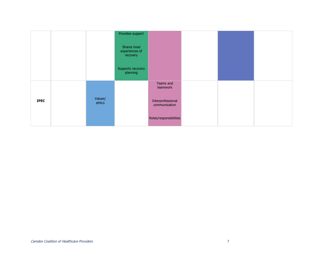|             |                   | Provides support                           |                                    |  |  |
|-------------|-------------------|--------------------------------------------|------------------------------------|--|--|
|             |                   | Shares lived<br>experiences of<br>recovery |                                    |  |  |
|             |                   | Supports recovery<br>planning              |                                    |  |  |
|             |                   |                                            | Teams and<br>teamwork              |  |  |
| <b>IPEC</b> | Values/<br>ethics |                                            | Interprofessional<br>communication |  |  |
|             |                   |                                            | Roles/responsibilities             |  |  |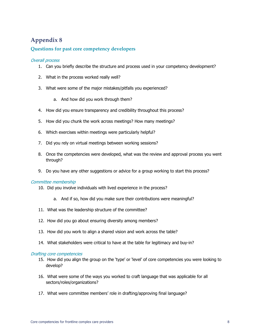# **Appendix 8**

# **Questions for past core competency developers**

## Overall process

- 1. Can you briefly describe the structure and process used in your competency development?
- 2. What in the process worked really well?
- 3. What were some of the major mistakes/pitfalls you experienced?
	- a. And how did you work through them?
- 4. How did you ensure transparency and credibility throughout this process?
- 5. How did you chunk the work across meetings? How many meetings?
- 6. Which exercises within meetings were particularly helpful?
- 7. Did you rely on virtual meetings between working sessions?
- 8. Once the competencies were developed, what was the review and approval process you went through?
- 9. Do you have any other suggestions or advice for a group working to start this process?

## Committee membership

- 10. Did you involve individuals with lived experience in the process?
	- a. And if so, how did you make sure their contributions were meaningful?
- 11. What was the leadership structure of the committee?
- 12. How did you go about ensuring diversity among members?
- 13. How did you work to align a shared vision and work across the table?
- 14. What stakeholders were critical to have at the table for legitimacy and buy-in?

#### Drafting core competencies

- 15. How did you align the group on the 'type' or 'level' of core competencies you were looking to develop?
- 16. What were some of the ways you worked to craft language that was applicable for all sectors/roles/organizations?
- 17. What were committee members' role in drafting/approving final language?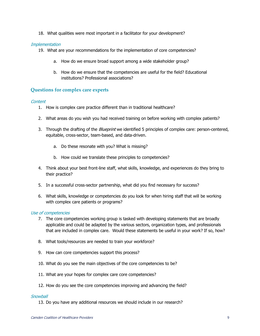18. What qualities were most important in a facilitator for your development?

#### **Implementation**

- 19. What are your recommendations for the implementation of core competencies?
	- a. How do we ensure broad support among a wide stakeholder group?
	- b. How do we ensure that the competencies are useful for the field? Educational institutions? Professional associations?

## **Questions for complex care experts**

#### Content

- 1. How is complex care practice different than in traditional healthcare?
- 2. What areas do you wish you had received training on before working with complex patients?
- 3. Through the drafting of the *Blueprint* we identified 5 principles of complex care: person-centered, equitable, cross-sector, team-based, and data-driven.
	- a. Do these resonate with you? What is missing?
	- b. How could we translate these principles to competencies?
- 4. Think about your best front-line staff, what skills, knowledge, and experiences do they bring to their practice?
- 5. In a successful cross-sector partnership, what did you find necessary for success?
- 6. What skills, knowledge or competencies do you look for when hiring staff that will be working with complex care patients or programs?

#### Use of competencies

- 7. The core competencies working group is tasked with developing statements that are broadly applicable and could be adapted by the various sectors, organization types, and professionals that are included in complex care. Would these statements be useful in your work? If so, how?
- 8. What tools/resources are needed to train your workforce?
- 9. How can core competencies support this process?
- 10. What do you see the main objectives of the core competencies to be?
- 11. What are your hopes for complex care core competencies?
- 12. How do you see the core competencies improving and advancing the field?

#### **Snowball**

13. Do you have any additional resources we should include in our research?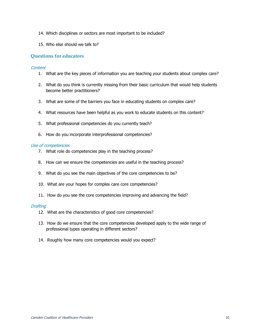- 14. Which disciplines or sectors are most important to be included?
- 15. Who else should we talk to?

## **Questions for educators**

#### Content

- 1. What are the key pieces of information you are teaching your students about complex care?
- 2. What do you think is currently missing from their basic curriculum that would help students become better practitioners?
- 3. What are some of the barriers you face in educating students on complex care?
- 4. What resources have been helpful as you work to educate students on this content?
- 5. What professional competencies do you currently teach?
- 6. How do you incorporate interprofessional competencies?

#### Use of competencies

- 7. What role do competencies play in the teaching process?
- 8. How can we ensure the competencies are useful in the teaching process?
- 9. What do you see the main objectives of the core competencies to be?
- 10. What are your hopes for complex care core competencies?
- 11. How do you see the core competencies improving and advancing the field?

#### **Drafting**

- 12. What are the characteristics of good core competencies?
- 13. How do we ensure that the core competencies developed apply to the wide range of professional types operating in different sectors?
- 14. Roughly how many core competencies would you expect?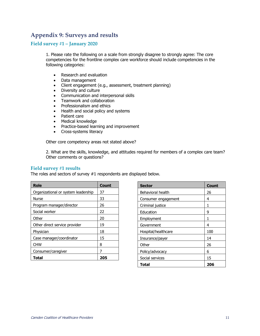# **Appendix 9: Surveys and results**

## **Field survey #1 – January 2020**

1. Please rate the following on a scale from strongly disagree to strongly agree: The core competencies for the frontline complex care workforce should include competencies in the following categories:

- Research and evaluation
- Data management
- Client engagement (e.g., assessment, treatment planning)
- Diversity and culture
- Communication and interpersonal skills
- Teamwork and collaboration
- Professionalism and ethics
- Health and social policy and systems
- Patient care
- Medical knowledge
- Practice-based learning and improvement
- Cross-systems literacy

Other core competency areas not stated above?

2. What are the skills, knowledge, and attitudes required for members of a complex care team? Other comments or questions?

#### **Field survey #1 results**

The roles and sectors of survey #1 respondents are displayed below.

| Role                                | Count |
|-------------------------------------|-------|
| Organizational or system leadership | 37    |
| Nurse                               | 33    |
| Program manager/director            | 26    |
| Social worker                       | 22    |
| Other                               | 20    |
| Other direct service provider       | 19    |
| Physician                           | 18    |
| Case manager/coordinator            | 15    |
| <b>CHW</b>                          | 8     |
| Consumer/caregiver                  | 7     |
| Total                               | 205   |

| <b>Sector</b>       | Count |
|---------------------|-------|
| Behavioral health   | 26    |
| Consumer engagement | 4     |
| Criminal justice    | 1     |
| Education           | 9     |
| Employment          | 1     |
| Government          | 4     |
| Hospital/healthcare | 100   |
| Insurance/payer     | 14    |
| Other               | 26    |
| Policy/advocacy     | 6     |
| Social services     | 15    |
| Total               | 206   |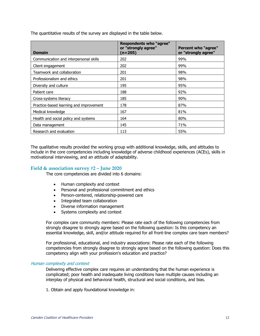| <b>Domain</b>                           | <b>Respondents who "agree"</b><br>or "strongly agree"<br>(n=205) | <b>Percent who "agree"</b><br>or "strongly agree" |
|-----------------------------------------|------------------------------------------------------------------|---------------------------------------------------|
| Communication and interpersonal skills  | 202                                                              | 99%                                               |
| Client engagement                       | 202                                                              | 99%                                               |
| Teamwork and collaboration              | 201                                                              | 98%                                               |
| Professionalism and ethics              | 201                                                              | 98%                                               |
| Diversity and culture                   | 195                                                              | 95%                                               |
| Patient care                            | 188                                                              | 92%                                               |
| Cross-systems literacy                  | 185                                                              | 90%                                               |
| Practice-based learning and improvement | 178                                                              | 87%                                               |
| Medical knowledge                       | 167                                                              | 81%                                               |
| Health and social policy and systems    | 164                                                              | 80%                                               |
| Data management                         | 145                                                              | 71%                                               |
| Research and evaluation                 | 113                                                              | 55%                                               |

The quantitative results of the survey are displayed in the table below.

The qualitative results provided the working group with additional knowledge, skills, and attitudes to include in the core competencies including knowledge of adverse childhood experiences (ACEs), skills in motivational interviewing, and an attitude of adaptability.

#### **Field & association survey #2 – June 2020**

The core competencies are divided into 6 domains:

- Human complexity and context
- Personal and professional commitment and ethics
- Person-centered, relationship-powered care
- Integrated team collaboration
- Diverse information management
- Systems complexity and context

For complex care community members: Please rate each of the following competencies from strongly disagree to strongly agree based on the following question: Is this competency an essential knowledge, skill, and/or attitude required for all front-line complex care team members?

For professional, educational, and industry associations: Please rate each of the following competencies from strongly disagree to strongly agree based on the following question: Does this competency align with your profession's education and practice?

#### Human complexity and context

Delivering effective complex care requires an understanding that the human experience is complicated; poor health and inadequate living conditions have multiple causes including an interplay of physical and behavioral health, structural and social conditions, and bias.

1. Obtain and apply foundational knowledge in: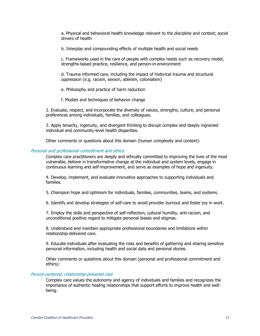a. Physical and behavioral health knowledge relevant to the discipline and context; social drivers of health

b. Interplay and compounding effects of multiple health and social needs

c. Frameworks used in the care of people with complex needs such as recovery model, strengths-based practice, resilience, and person-in-environment

d. Trauma informed care, including the impact of historical trauma and structural oppression (e.g. racism, sexism, ableism, colonialism)

e. Philosophy and practice of harm reduction

f. Models and techniques of behavior change

2. Evaluate, respect, and incorporate the diversity of values, strengths, culture, and personal preferences among individuals, families, and colleagues.

3. Apply tenacity, ingenuity, and divergent thinking to disrupt complex and deeply ingrained individual and community-level health disparities.

Other comments or questions about this domain (human complexity and context):

#### Personal and professional commitment and ethics

Complex care practitioners are deeply and ethically committed to improving the lives of the most vulnerable, believe in transformative change at the individual and system levels, engage in continuous learning and self-improvement, and serve as examples of hope and ingenuity.

4. Develop, implement, and evaluate innovative approaches to supporting individuals and families.

5. Champion hope and optimism for individuals, families, communities, teams, and systems.

6. Identify and develop strategies of self-care to avoid provider burnout and foster joy in work.

7. Employ the skills and perspective of self-reflection, cultural humility, anti-racism, and unconditional positive regard to mitigate personal biases and stigmas.

8. Understand and maintain appropriate professional boundaries and limitations within relationship-delivered care.

9. Educate individuals after evaluating the risks and benefits of gathering and sharing sensitive personal information, including health and social data and personal stories.

Other comments or questions about this domain (personal and professional commitment and ethics):

#### Person-centered, relationship-powered care

Complex care values the autonomy and agency of individuals and families and recognizes the importance of authentic healing relationships that support efforts to improve health and wellbeing.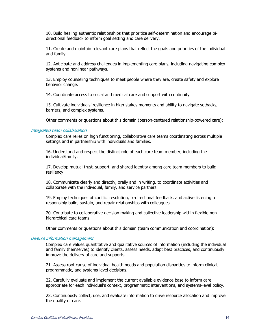10. Build healing authentic relationships that prioritize self-determination and encourage bidirectional feedback to inform goal setting and care delivery.

11. Create and maintain relevant care plans that reflect the goals and priorities of the individual and family.

12. Anticipate and address challenges in implementing care plans, including navigating complex systems and nonlinear pathways.

13. Employ counseling techniques to meet people where they are, create safety and explore behavior change.

14. Coordinate access to social and medical care and support with continuity.

15. Cultivate individuals' resilience in high-stakes moments and ability to navigate setbacks, barriers, and complex systems.

Other comments or questions about this domain (person-centered relationship-powered care):

#### Integrated team collaboration

Complex care relies on high functioning, collaborative care teams coordinating across multiple settings and in partnership with individuals and families.

16. Understand and respect the distinct role of each care team member, including the individual/family.

17. Develop mutual trust, support, and shared identity among care team members to build resiliency.

18. Communicate clearly and directly, orally and in writing, to coordinate activities and collaborate with the individual, family, and service partners.

19. Employ techniques of conflict resolution, bi-directional feedback, and active listening to responsibly build, sustain, and repair relationships with colleagues.

20. Contribute to collaborative decision making and collective leadership within flexible nonhierarchical care teams.

Other comments or questions about this domain (team communication and coordination):

#### Diverse information management

Complex care values quantitative and qualitative sources of information (including the individual and family themselves) to identify clients, assess needs, adapt best practices, and continuously improve the delivery of care and supports.

21. Assess root cause of individual health needs and population disparities to inform clinical, programmatic, and systems-level decisions.

22. Carefully evaluate and implement the current available evidence base to inform care appropriate for each individual's context, programmatic interventions, and systems-level policy.

23. Continuously collect, use, and evaluate information to drive resource allocation and improve the quality of care.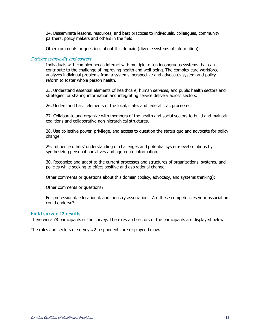24. Disseminate lessons, resources, and best practices to individuals, colleagues, community partners, policy makers and others in the field.

Other comments or questions about this domain (diverse systems of information):

#### Systems complexity and context

Individuals with complex needs interact with multiple, often incongruous systems that can contribute to the challenge of improving health and well-being. The complex care workforce analyzes individual problems from a systems' perspective and advocates system and policy reform to foster whole person health.

25. Understand essential elements of healthcare, human services, and public health sectors and strategies for sharing information and integrating service delivery across sectors.

26. Understand basic elements of the local, state, and federal civic processes.

27. Collaborate and organize with members of the health and social sectors to build and maintain coalitions and collaborative non-hierarchical structures.

28. Use collective power, privilege, and access to question the status quo and advocate for policy change.

29. Influence others' understanding of challenges and potential system-level solutions by synthesizing personal narratives and aggregate information.

30. Recognize and adapt to the current processes and structures of organizations, systems, and policies while seeking to effect positive and aspirational change.

Other comments or questions about this domain (policy, advocacy, and systems thinking):

Other comments or questions?

For professional, educational, and industry associations: Are these competencies your association could endorse?

#### **Field survey #2 results**

There were 78 participants of the survey. The roles and sectors of the participants are displayed below.

The roles and sectors of survey #2 respondents are displayed below.